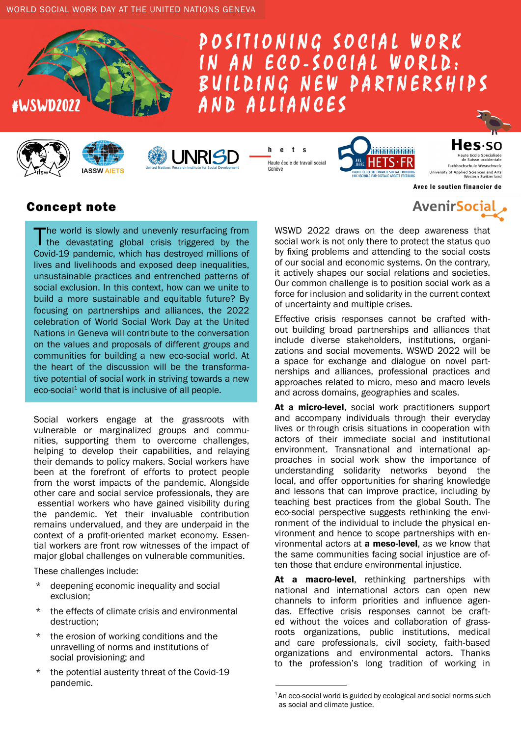







 $\mathbf h$  $\mathbf{e}$  $t$  s Haute école de travail social Genève

**UNRISD** 



des:so Fachhochschule Westschweiz University of Applied Sciences and Arts

Avec le soutien financier de

**AvenirSocial** 

## Concept note

The world is slowly and unevenly resurfacing from<br>the devastating global crisis triggered by the<br>consistence of the destruction of the constants Covid-19 pandemic, which has destroyed millions of lives and livelihoods and exposed deep inequalities, unsustainable practices and entrenched patterns of social exclusion. In this context, how can we unite to build a more sustainable and equitable future? By focusing on partnerships and alliances, the 2022 celebration of World Social Work Day at the United Nations in Geneva will contribute to the conversation on the values and proposals of different groups and communities for building a new eco-social world. At the heart of the discussion will be the transformative potential of social work in striving towards a new  $e$ co-social<sup>1</sup> world that is inclusive of all people.

Social workers engage at the grassroots with vulnerable or marginalized groups and communities, supporting them to overcome challenges, helping to develop their capabilities, and relaying their demands to policy makers. Social workers have been at the forefront of efforts to protect people from the worst impacts of the pandemic. Alongside other care and social service professionals, they are essential workers who have gained visibility during the pandemic. Yet their invaluable contribution remains undervalued, and they are underpaid in the context of a profit-oriented market economy. Essential workers are front row witnesses of the impact of major global challenges on vulnerable communities.

These challenges include:

- \* deepening economic inequality and social exclusion;
- \* the effects of climate crisis and environmental destruction;
- the erosion of working conditions and the unravelling of norms and institutions of social provisioning; and
- the potential austerity threat of the Covid-19 pandemic.

WSWD 2022 draws on the deep awareness that social work is not only there to protect the status quo by fixing problems and attending to the social costs of our social and economic systems. On the contrary, it actively shapes our social relations and societies. Our common challenge is to position social work as a force for inclusion and solidarity in the current context of uncertainty and multiple crises.

Effective crisis responses cannot be crafted without building broad partnerships and alliances that include diverse stakeholders, institutions, organizations and social movements. WSWD 2022 will be a space for exchange and dialogue on novel partnerships and alliances, professional practices and approaches related to micro, meso and macro levels and across domains, geographies and scales.

At a micro-level, social work practitioners support and accompany individuals through their everyday lives or through crisis situations in cooperation with actors of their immediate social and institutional environment. Transnational and international approaches in social work show the importance of understanding solidarity networks beyond the local, and offer opportunities for sharing knowledge and lessons that can improve practice, including by teaching best practices from the global South. The eco-social perspective suggests rethinking the environment of the individual to include the physical environment and hence to scope partnerships with environmental actors at **a meso-level**, as we know that the same communities facing social injustice are often those that endure environmental injustice.

At a macro-level, rethinking partnerships with national and international actors can open new channels to inform priorities and influence agendas. Effective crisis responses cannot be crafted without the voices and collaboration of grassroots organizations, public institutions, medical and care professionals, civil society, faith-based organizations and environmental actors. Thanks to the profession's long tradition of working in

<sup>&</sup>lt;sup>1</sup>An eco-social world is guided by ecological and social norms such as social and climate justice.